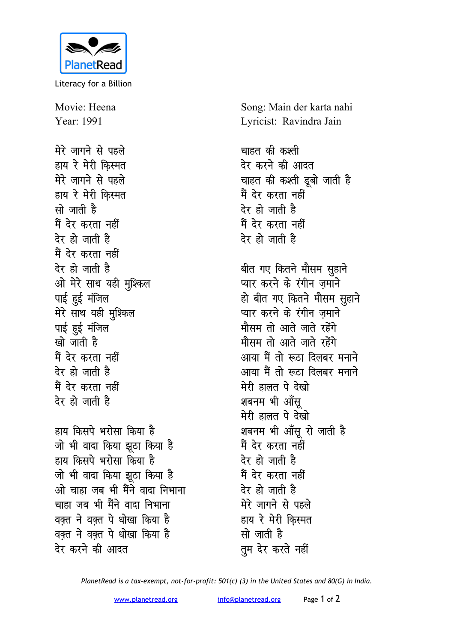

Literacy for a Billion

Movie: Heena Year: 1991

मेरे जागने से पहले हाय रे मेरी किस्मत मेरे जागने से पहले हाय रे मेरी किस्मत सो जाती है मैं देर करता नहीं टेर हो जाती है मैं देर करता नहीं देर हो जाती है ओ मेरे साथ यही मुश्किल पाई हुई मंजिल मेरे साथ यही मुश्किल पाई हुई मंजिल खो जाती है मैं देर करता नहीं देर हो जाती है मैं देर करता नहीं देर हो जाती है

हाय किसपे भरोसा किया है जो भी वादा किया झुठा किया है हाय किसपे भरोसा किया है जो भी वादा किया झूठा किया है ओ चाहा जब भी मैंने वाटा निभाना चाहा जब भी मैंने वादा निभाना वक्त ने वक्त पे धोखा किया है वक्त ने वक्त पे धोखा किया है <u>देर करने की आदत</u>

Song: Main der karta nahi Lyricist: Ravindra Jain

चाहत की कश्ती देर करने की आदत चाहत की कश्ती डूबो जाती है मैं देर करता नहीं देर हो जाती है मैं देर करता नहीं टेर हो जाती है

बीत गए कितने मौसम सुहाने प्यार करने के रंगीन ज़माने हो बीत गए कितने मौसम सुहाने प्यार करने के रंगीन जमाने मौसम तो आते जाते रहेंगे मौसम तो आते जाते रहेंगे आया मैं तो रूठा दिलबर मनाने आया मैं तो रूठा दिलबर मनाने मेरी हालत पे देखो शबनम भी आँसु मेरी हालत पे देखो शबनम भी आँसू रो जाती है मैं देर करता नहीं देर हो जाती है मैं देर करता नहीं देर हो जाती है मेरे जागने से पहले हाय रे मेरी किस्मत सो जाती है तुम देर करते नहीं

PlanetRead is a tax-exempt, not-for-profit: 501(c) (3) in the United States and 80(G) in India.